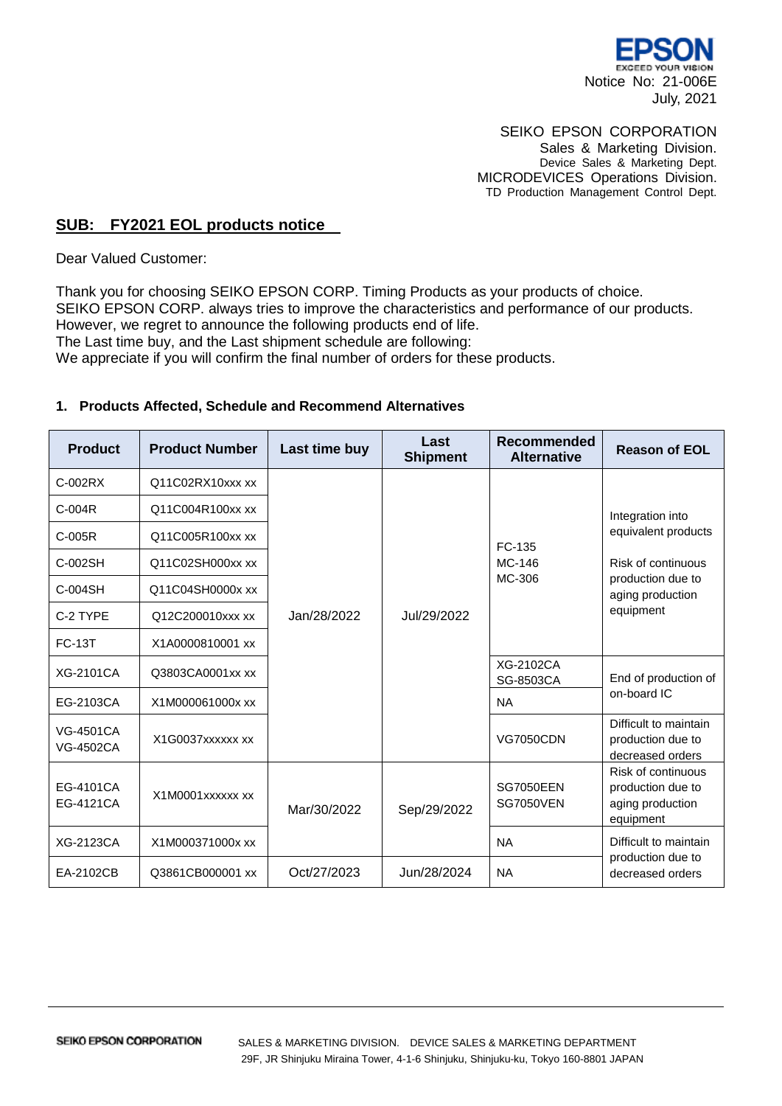

## SEIKO EPSON CORPORATION

Sales & Marketing Division. Device Sales & Marketing Dept. MICRODEVICES Operations Division. TD Production Management Control Dept.

## **SUB: FY2021 EOL products notice**

Dear Valued Customer:

Thank you for choosing SEIKO EPSON CORP. Timing Products as your products of choice. SEIKO EPSON CORP. always tries to improve the characteristics and performance of our products. However, we regret to announce the following products end of life. The Last time buy, and the Last shipment schedule are following: We appreciate if you will confirm the final number of orders for these products.

## **1. Products Affected, Schedule and Recommend Alternatives**

| <b>Product</b>                       | <b>Product Number</b> | Last time buy | Last<br><b>Shipment</b> | <b>Recommended</b><br><b>Alternative</b> | <b>Reason of EOL</b>                                                     |
|--------------------------------------|-----------------------|---------------|-------------------------|------------------------------------------|--------------------------------------------------------------------------|
| $C-002RX$                            | Q11C02RX10xxx xx      |               | Jul/29/2022             | FC-135<br>MC-146<br>MC-306               | Integration into<br>equivalent products                                  |
| $C-004R$                             | Q11C004R100xx xx      |               |                         |                                          |                                                                          |
| C-005R                               | Q11C005R100xx xx      |               |                         |                                          |                                                                          |
| C-002SH                              | Q11C02SH000xx xx      |               |                         |                                          | Risk of continuous                                                       |
| C-004SH                              | Q11C04SH0000x xx      |               |                         |                                          | production due to<br>aging production<br>equipment                       |
| C-2 TYPE                             | Q12C200010xxx xx      | Jan/28/2022   |                         |                                          |                                                                          |
| <b>FC-13T</b>                        | X1A0000810001 xx      |               |                         |                                          |                                                                          |
| XG-2101CA                            | Q3803CA0001xx xx      |               |                         | XG-2102CA<br>SG-8503CA                   | End of production of<br>on-board IC                                      |
| EG-2103CA                            | X1M000061000x xx      |               |                         | <b>NA</b>                                |                                                                          |
| <b>VG-4501CA</b><br><b>VG-4502CA</b> | X1G0037xxxxxx xx      |               |                         | <b>VG7050CDN</b>                         | Difficult to maintain<br>production due to<br>decreased orders           |
| EG-4101CA<br>EG-4121CA               | X1M0001xxxxxx xx      | Mar/30/2022   | Sep/29/2022             | <b>SG7050EEN</b><br><b>SG7050VEN</b>     | Risk of continuous<br>production due to<br>aging production<br>equipment |
| XG-2123CA                            | X1M000371000x xx      |               |                         | <b>NA</b>                                | Difficult to maintain<br>production due to<br>decreased orders           |
| EA-2102CB                            | Q3861CB000001 xx      | Oct/27/2023   | Jun/28/2024             | <b>NA</b>                                |                                                                          |